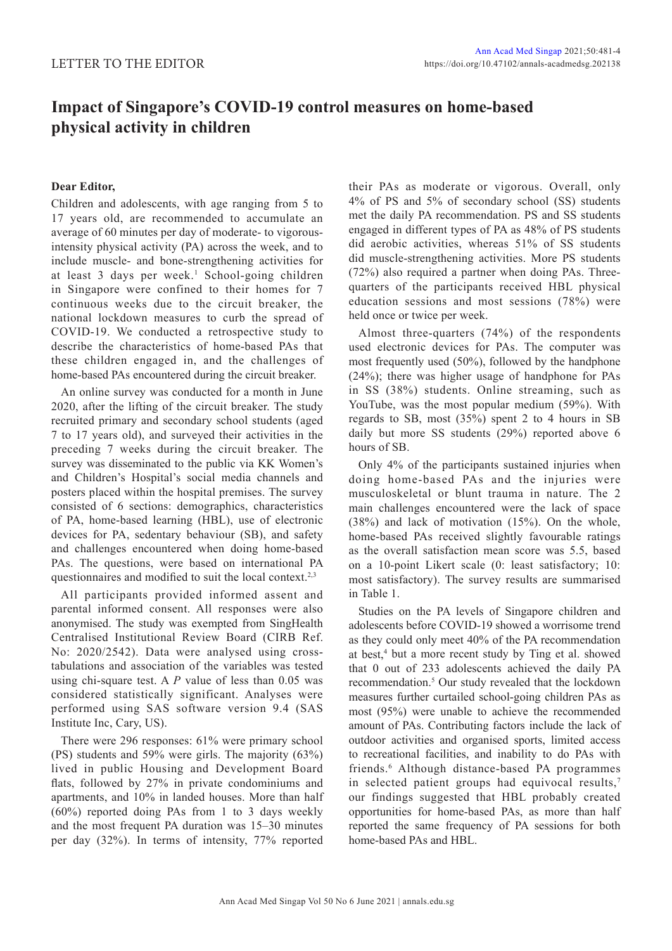## **Impact of Singapore's COVID-19 control measures on home-based physical activity in children**

## **Dear Editor,**

Children and adolescents, with age ranging from 5 to 17 years old, are recommended to accumulate an average of 60 minutes per day of moderate- to vigorousintensity physical activity (PA) across the week, and to include muscle- and bone-strengthening activities for at least 3 days per week.<sup>1</sup> School-going children in Singapore were confined to their homes for 7 continuous weeks due to the circuit breaker, the national lockdown measures to curb the spread of COVID-19. We conducted a retrospective study to describe the characteristics of home-based PAs that these children engaged in, and the challenges of home-based PAs encountered during the circuit breaker.

An online survey was conducted for a month in June 2020, after the lifting of the circuit breaker. The study recruited primary and secondary school students (aged 7 to 17 years old), and surveyed their activities in the preceding 7 weeks during the circuit breaker. The survey was disseminated to the public via KK Women's and Children's Hospital's social media channels and posters placed within the hospital premises. The survey consisted of 6 sections: demographics, characteristics of PA, home-based learning (HBL), use of electronic devices for PA, sedentary behaviour (SB), and safety and challenges encountered when doing home-based PAs. The questions, were based on international PA questionnaires and modified to suit the local context.<sup>2,3</sup>

All participants provided informed assent and parental informed consent. All responses were also anonymised. The study was exempted from SingHealth Centralised Institutional Review Board (CIRB Ref. No: 2020/2542). Data were analysed using crosstabulations and association of the variables was tested using chi-square test. A *P* value of less than 0.05 was considered statistically significant. Analyses were performed using SAS software version 9.4 (SAS Institute Inc, Cary, US).

There were 296 responses: 61% were primary school (PS) students and 59% were girls. The majority (63%) lived in public Housing and Development Board flats, followed by 27% in private condominiums and apartments, and 10% in landed houses. More than half (60%) reported doing PAs from 1 to 3 days weekly and the most frequent PA duration was 15–30 minutes per day (32%). In terms of intensity, 77% reported

their PAs as moderate or vigorous. Overall, only 4% of PS and 5% of secondary school (SS) students met the daily PA recommendation. PS and SS students engaged in different types of PA as 48% of PS students did aerobic activities, whereas 51% of SS students did muscle-strengthening activities. More PS students (72%) also required a partner when doing PAs. Threequarters of the participants received HBL physical education sessions and most sessions (78%) were held once or twice per week.

Almost three-quarters (74%) of the respondents used electronic devices for PAs. The computer was most frequently used (50%), followed by the handphone (24%); there was higher usage of handphone for PAs in SS (38%) students. Online streaming, such as YouTube, was the most popular medium (59%). With regards to SB, most (35%) spent 2 to 4 hours in SB daily but more SS students (29%) reported above 6 hours of SB.

Only 4% of the participants sustained injuries when doing home-based PAs and the injuries were musculoskeletal or blunt trauma in nature. The 2 main challenges encountered were the lack of space (38%) and lack of motivation (15%). On the whole, home-based PAs received slightly favourable ratings as the overall satisfaction mean score was 5.5, based on a 10-point Likert scale (0: least satisfactory; 10: most satisfactory). The survey results are summarised in Table 1.

Studies on the PA levels of Singapore children and adolescents before COVID-19 showed a worrisome trend as they could only meet 40% of the PA recommendation at best,<sup>4</sup> but a more recent study by Ting et al. showed that 0 out of 233 adolescents achieved the daily PA recommendation.<sup>5</sup> Our study revealed that the lockdown measures further curtailed school-going children PAs as most (95%) were unable to achieve the recommended amount of PAs. Contributing factors include the lack of outdoor activities and organised sports, limited access to recreational facilities, and inability to do PAs with friends.<sup>6</sup> Although distance-based PA programmes in selected patient groups had equivocal results,<sup>7</sup> our findings suggested that HBL probably created opportunities for home-based PAs, as more than half reported the same frequency of PA sessions for both home-based PAs and HBL.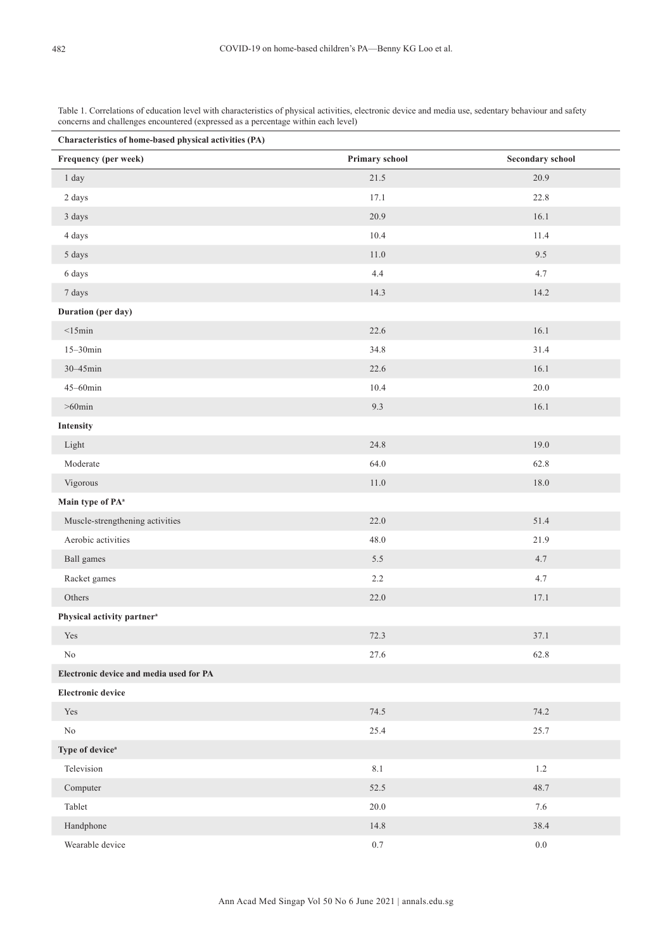Table 1. Correlations of education level with characteristics of physical activities, electronic device and media use, sedentary behaviour and safety concerns and challenges encountered (expressed as a percentage within each level)

| Characteristics of home-based physical activities (PA) |                |                         |  |
|--------------------------------------------------------|----------------|-------------------------|--|
| Frequency (per week)                                   | Primary school | <b>Secondary school</b> |  |
| 1 day                                                  | 21.5           | 20.9                    |  |
| $2\;{\rm days}$                                        | 17.1           | 22.8                    |  |
| 3 days                                                 | 20.9           | 16.1                    |  |
| 4 days                                                 | 10.4           | 11.4                    |  |
| 5 days                                                 | 11.0           | 9.5                     |  |
| 6 days                                                 | 4.4            | 4.7                     |  |
| 7 days                                                 | 14.3           | 14.2                    |  |
| Duration (per day)                                     |                |                         |  |
| $<$ 15min                                              | 22.6           | 16.1                    |  |
| $15 - 30$ min                                          | 34.8           | 31.4                    |  |
| 30-45min                                               | 22.6           | 16.1                    |  |
| $45 - 60$ min                                          | 10.4           | $20.0\,$                |  |
| $>60$ min                                              | 9.3            | 16.1                    |  |
| <b>Intensity</b>                                       |                |                         |  |
| Light                                                  | 24.8           | 19.0                    |  |
| Moderate                                               | 64.0           | 62.8                    |  |
| Vigorous                                               | $11.0\,$       | $18.0\,$                |  |
| Main type of PA <sup>a</sup>                           |                |                         |  |
| Muscle-strengthening activities                        | 22.0           | 51.4                    |  |
| Aerobic activities                                     | $48.0\,$       | 21.9                    |  |
| Ball games                                             | 5.5            | 4.7                     |  |
| Racket games                                           | 2.2            | 4.7                     |  |
| Others                                                 | 22.0           | 17.1                    |  |
| Physical activity partner <sup>a</sup>                 |                |                         |  |
| $\operatorname{Yes}$                                   | 72.3           | 37.1                    |  |
| $\rm No$                                               | 27.6           | 62.8                    |  |
| Electronic device and media used for PA                |                |                         |  |
| <b>Electronic device</b>                               |                |                         |  |
| $\operatorname{Yes}$                                   | 74.5           | 74.2                    |  |
| No                                                     | 25.4           | 25.7                    |  |
| Type of device <sup>a</sup>                            |                |                         |  |
| Television                                             | 8.1            | $1.2$                   |  |
| Computer                                               | 52.5           | 48.7                    |  |
| Tablet                                                 | 20.0           | $7.6\,$                 |  |
| Handphone                                              | 14.8           | 38.4                    |  |
| Wearable device                                        | $0.7\,$        | $0.0\,$                 |  |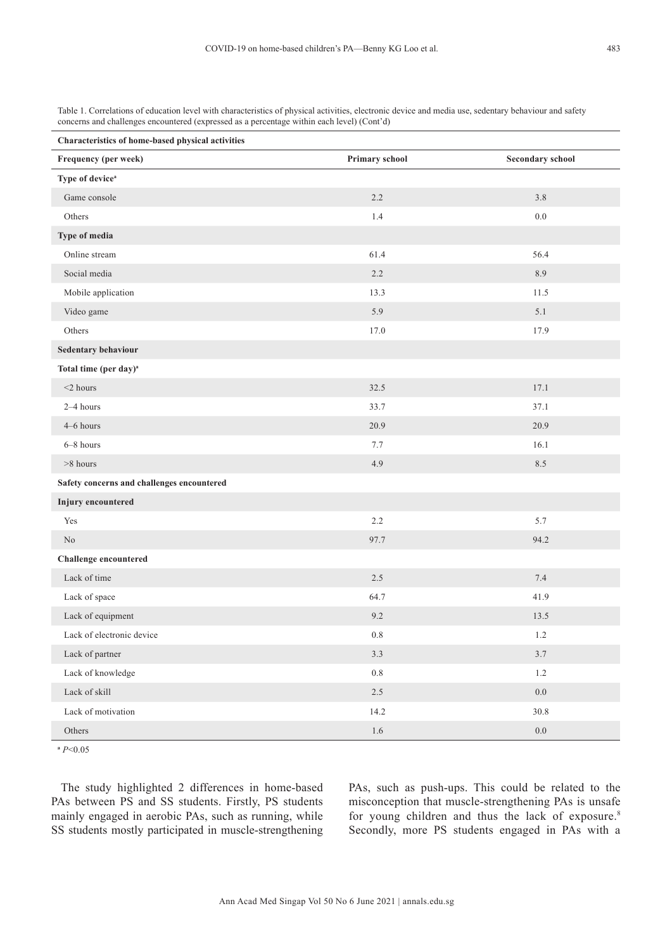Table 1. Correlations of education level with characteristics of physical activities, electronic device and media use, sedentary behaviour and safety concerns and challenges encountered (expressed as a percentage within each level) (Cont'd)

| Characteristics of home-based physical activities |                |                         |  |
|---------------------------------------------------|----------------|-------------------------|--|
| Frequency (per week)                              | Primary school | <b>Secondary school</b> |  |
| Type of device <sup>a</sup>                       |                |                         |  |
| Game console                                      | 2.2            | 3.8                     |  |
| Others                                            | 1.4            | $0.0\,$                 |  |
| Type of media                                     |                |                         |  |
| Online stream                                     | 61.4           | 56.4                    |  |
| Social media                                      | 2.2            | 8.9                     |  |
| Mobile application                                | 13.3           | 11.5                    |  |
| Video game                                        | 5.9            | 5.1                     |  |
| Others                                            | 17.0           | 17.9                    |  |
| Sedentary behaviour                               |                |                         |  |
| Total time (per day) <sup>a</sup>                 |                |                         |  |
| $<$ 2 hours                                       | 32.5           | 17.1                    |  |
| 2-4 hours                                         | 33.7           | 37.1                    |  |
| 4-6 hours                                         | 20.9           | 20.9                    |  |
| 6-8 hours                                         | 7.7            | 16.1                    |  |
| $>8$ hours                                        | 4.9            | 8.5                     |  |
| Safety concerns and challenges encountered        |                |                         |  |
| <b>Injury</b> encountered                         |                |                         |  |
| Yes                                               | 2.2            | 5.7                     |  |
| $\rm No$                                          | 97.7           | 94.2                    |  |
| <b>Challenge</b> encountered                      |                |                         |  |
| Lack of time                                      | 2.5            | 7.4                     |  |
| Lack of space                                     | 64.7           | 41.9                    |  |
| Lack of equipment                                 | 9.2            | 13.5                    |  |
| Lack of electronic device                         | $0.8\,$        | 1.2                     |  |
| Lack of partner                                   | 3.3            | 3.7                     |  |
| Lack of knowledge                                 | 0.8            | $1.2\,$                 |  |
| Lack of skill                                     | $2.5\,$        | $0.0\,$                 |  |
| Lack of motivation                                | 14.2           | $30.8\,$                |  |
| Others                                            | $1.6\,$        | $0.0\,$                 |  |

**<sup>a</sup>** *P*<0.05

The study highlighted 2 differences in home-based PAs between PS and SS students. Firstly, PS students mainly engaged in aerobic PAs, such as running, while SS students mostly participated in muscle-strengthening PAs, such as push-ups. This could be related to the misconception that muscle-strengthening PAs is unsafe for young children and thus the lack of exposure.<sup>8</sup> Secondly, more PS students engaged in PAs with a